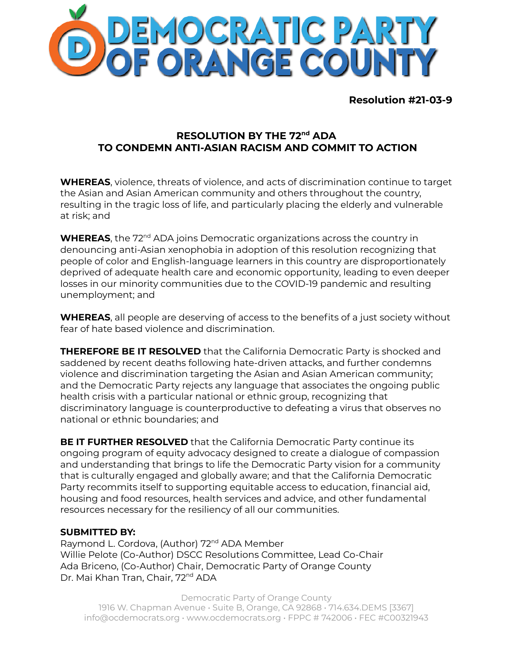

**Resolution #21-03-9**

## **RESOLUTION BY THE 72 nd ADA TO CONDEMN ANTI-ASIAN RACISM AND COMMIT TO ACTION**

**WHEREAS**, violence, threats of violence, and acts of discrimination continue to target the Asian and Asian American community and others throughout the country, resulting in the tragic loss of life, and particularly placing the elderly and vulnerable at risk; and

**WHEREAS**, the 72<sup>nd</sup> ADA joins Democratic organizations across the country in denouncing anti-Asian xenophobia in adoption of this resolution recognizing that people of color and English-language learners in this country are disproportionately deprived of adequate health care and economic opportunity, leading to even deeper losses in our minority communities due to the COVID-19 pandemic and resulting unemployment; and

**WHEREAS**, all people are deserving of access to the benefits of a just society without fear of hate based violence and discrimination.

**THEREFORE BE IT RESOLVED** that the California Democratic Party is shocked and saddened by recent deaths following hate-driven attacks, and further condemns violence and discrimination targeting the Asian and Asian American community; and the Democratic Party rejects any language that associates the ongoing public health crisis with a particular national or ethnic group, recognizing that discriminatory language is counterproductive to defeating a virus that observes no national or ethnic boundaries; and

**BE IT FURTHER RESOLVED** that the California Democratic Party continue its ongoing program of equity advocacy designed to create a dialogue of compassion and understanding that brings to life the Democratic Party vision for a community that is culturally engaged and globally aware; and that the California Democratic Party recommits itself to supporting equitable access to education, financial aid, housing and food resources, health services and advice, and other fundamental resources necessary for the resiliency of all our communities.

## **SUBMITTED BY:**

Raymond L. Cordova, (Author) 72<sup>nd</sup> ADA Member Willie Pelote (Co-Author) DSCC Resolutions Committee, Lead Co-Chair Ada Briceno, (Co-Author) Chair, Democratic Party of Orange County Dr. Mai Khan Tran, Chair, 72<sup>nd</sup> ADA